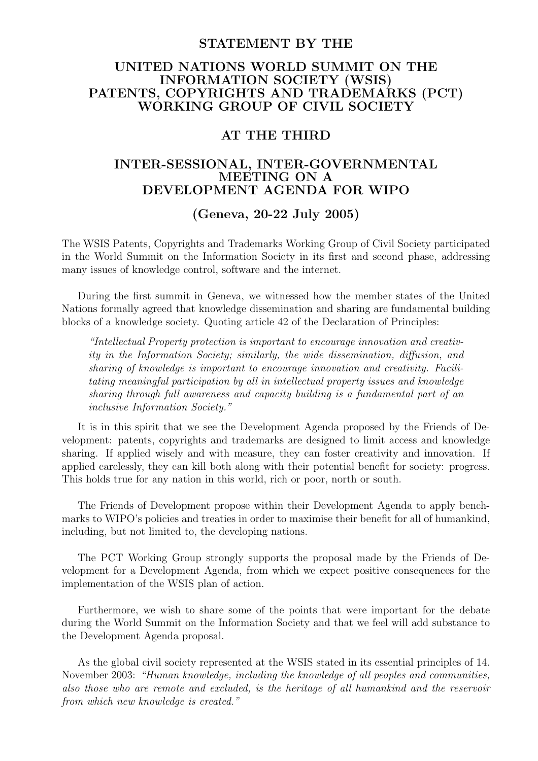#### STATEMENT BY THE

# UNITED NATIONS WORLD SUMMIT ON THE INFORMATION SOCIETY (WSIS) PATENTS, COPYRIGHTS AND TRADEMARKS (PCT) WORKING GROUP OF CIVIL SOCIETY

### AT THE THIRD

# INTER-SESSIONAL, INTER-GOVERNMENTAL MEETING ON A DEVELOPMENT AGENDA FOR WIPO

### (Geneva, 20-22 July 2005)

The WSIS Patents, Copyrights and Trademarks Working Group of Civil Society participated in the World Summit on the Information Society in its first and second phase, addressing many issues of knowledge control, software and the internet.

During the first summit in Geneva, we witnessed how the member states of the United Nations formally agreed that knowledge dissemination and sharing are fundamental building blocks of a knowledge society. Quoting article 42 of the Declaration of Principles:

"Intellectual Property protection is important to encourage innovation and creativity in the Information Society; similarly, the wide dissemination, diffusion, and sharing of knowledge is important to encourage innovation and creativity. Facilitating meaningful participation by all in intellectual property issues and knowledge sharing through full awareness and capacity building is a fundamental part of an inclusive Information Society."

It is in this spirit that we see the Development Agenda proposed by the Friends of Development: patents, copyrights and trademarks are designed to limit access and knowledge sharing. If applied wisely and with measure, they can foster creativity and innovation. If applied carelessly, they can kill both along with their potential benefit for society: progress. This holds true for any nation in this world, rich or poor, north or south.

The Friends of Development propose within their Development Agenda to apply benchmarks to WIPO's policies and treaties in order to maximise their benefit for all of humankind, including, but not limited to, the developing nations.

The PCT Working Group strongly supports the proposal made by the Friends of Development for a Development Agenda, from which we expect positive consequences for the implementation of the WSIS plan of action.

Furthermore, we wish to share some of the points that were important for the debate during the World Summit on the Information Society and that we feel will add substance to the Development Agenda proposal.

As the global civil society represented at the WSIS stated in its essential principles of 14. November 2003: "Human knowledge, including the knowledge of all peoples and communities, also those who are remote and excluded, is the heritage of all humankind and the reservoir from which new knowledge is created."